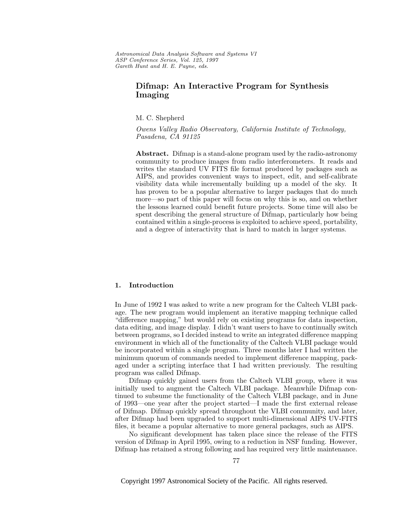Astronomical Data Analysis Software and Systems VI ASP Conference Series, Vol. 125, 1997 Gareth Hunt and H. E. Payne, e ds.

# **Difmap: An Interactive Program for Synthesis Imaging**

M. C. Shepherd

Owens Valley Radio Observatory, California Institute of Technology, Pasadena, CA 91125

**Abstract.** Difmap is a stand-alone program used by the radio-astronomy community to produce images from radio interferometers. It reads and writes the standard UV FITS file format produced by packages such as AIPS, and provides convenient ways to inspect, edit, and self-calibrate visibility data while incrementally building up a model of the sky. It has proven to be a popular alternative to larger packages that do much more—so part of this paper will focus on why this is so, and on whether the lessons learned could benefit future projects. Some time will also be spent describing the general structure of Difmap, particularly how being contained within a single-process is exploited to achieve speed, portability, and a degree of interactivity that is hard to match in larger systems.

# **1. Introduction**

In June of 1992 I was asked to write a new program for the Caltech VLBI package. The new program would implement an iterative mapping technique called "difference mapping," but would rely on existing programs for data inspection, data editing, and image display. I didn't want users to have to continually switch between programs, so I decided instead to write an integrated difference mapping environment in which all of the functionality of the Caltech VLBI package would be incorporated within a single program. Three months later I had written the minimum quorum of commands needed to implement difference mapping, packaged under a scripting interface that I had written previously. The resulting program was called Difmap.

Difmap quickly gained users from the Caltech VLBI group, where it was initially used to augment the Caltech VLBI package. Meanwhile Difmap continued to subsume the functionality of the Caltech VLBI package, and in June of 1993—one year after the project started—I made the first external release of Difmap. Difmap quickly spread throughout the VLBI community, and later, after Difmap had been upgraded to support multi-dimensional AIPS UV-FITS files, it became a popular alternative to more general packages, such as AIPS.

No significant development has taken place since the release of the FITS version of Difmap in April 1995, owing to a reduction in NSF funding. However, Difmap has retained a strong following and has required very little maintenance.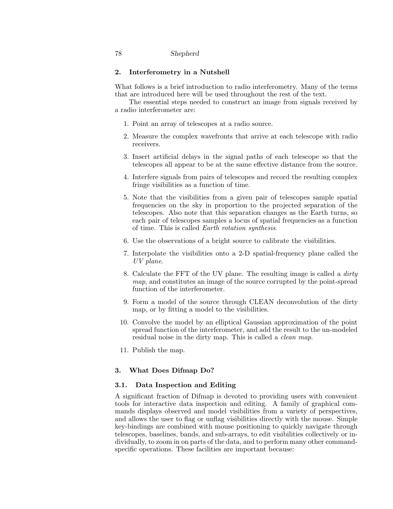## **2. Interferometry in a Nutshell**

What follows is a brief introduction to radio interferometry. Many of the terms that are introduced here will be used throughout the rest of the text.

The essential steps needed to construct an image from signals received by a radio interferometer are:

- 1. Point an array of telescopes at a radio source.
- 2. Measure the complex wavefronts that arrive at each telescope with radio receivers.
- 3. Insert artificial delays in the signal paths of each telescope so that the telescopes all appear to be at the same effective distance from the source.
- 4. Interfere signals from pairs of telescopes and record the resulting complex fringe visibilities as a function of time.
- 5. Note that the visibilities from a given pair of telescopes sample spatial frequencies on the sky in proportion to the projected separation of the telescopes. Also note that this separation changes as the Earth turns, so each pair of telescopes samples a locus of spatial frequencies as a function of time. This is called Earth rotation synthesis.
- 6. Use the observations of a bright source to calibrate the visibilities.
- 7. Interpolate the visibilities onto a 2-D spatial-frequency plane called the UV plane.
- 8. Calculate the FFT of the UV plane. The resulting image is called a dirty map, and constitutes an image of the source corrupted by the point-spread function of the interferometer.
- 9. Form a model of the source through CLEAN deconvolution of the dirty map, or by fitting a model to the visibilities.
- 10. Convolve the model by an elliptical Gaussian approximation of the point spread function of the interferometer, and add the result to the un-modeled residual noise in the dirty map. This is called a *clean map*.
- 11. Publish the map.

# **3. What Does Difmap Do?**

# **3.1. Data Inspection and Editing**

A significant fraction of Difmap is devoted to providing users with convenient tools for interactive data inspection and editing. A family of graphical commands displays observed and model visibilities from a variety of perspectives, and allows the user to flag or unflag visibilities directly with the mouse. Simple key-bindings are combined with mouse positioning to quickly navigate through telescopes, baselines, bands, and sub-arrays, to edit visibilities collectively or individually, to zoom in on parts of the data, and to perform many other commandspecific operations. These facilities are important because: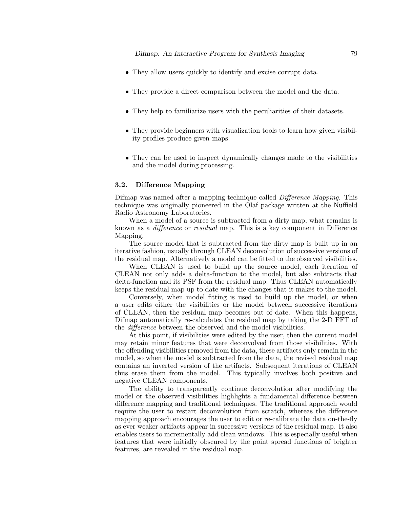- They allow users quickly to identify and excise corrupt data.
- They provide a direct comparison between the model and the data.
- They help to familiarize users with the peculiarities of their datasets.
- They provide beginners with visualization tools to learn how given visibility profiles produce given maps.
- They can be used to inspect dynamically changes made to the visibilities and the model during processing.

### **3.2. Difference Mapping**

Difmap was named after a mapping technique called Difference Mapping. This technique was originally pioneered in the Olaf package written at the Nuffield Radio Astronomy Laboratories.

When a model of a source is subtracted from a dirty map, what remains is known as a *difference* or *residual* map. This is a key component in Difference Mapping.

The source model that is subtracted from the dirty map is built up in an iterative fashion, usually through CLEAN deconvolution of successive versions of the residual map. Alternatively a model can be fitted to the observed visibilities.

When CLEAN is used to build up the source model, each iteration of CLEAN not only adds a delta-function to the model, but also subtracts that delta-function and its PSF from the residual map. Thus CLEAN automatically keeps the residual map up to date with the changes that it makes to the model.

Conversely, when model fitting is used to build up the model, or when a user edits either the visibilities or the model between successive iterations of CLEAN, then the residual map becomes out of date. When this happens, Difmap automatically re-calculates the residual map by taking the 2-D FFT of the *difference* between the observed and the model visibilities.

At this point, if visibilities were edited by the user, then the current model may retain minor features that were deconvolved from those visibilities. With the offending visibilities removed from the data, these artifacts only remain in the model, so when the model is subtracted from the data, the revised residual map contains an inverted version of the artifacts. Subsequent iterations of CLEAN thus erase them from the model. This typically involves both positive and negative CLEAN components.

The ability to transparently continue deconvolution after modifying the model or the observed visibilities highlights a fundamental difference between difference mapping and traditional techniques. The traditional approach would require the user to restart deconvolution from scratch, whereas the difference mapping approach encourages the user to edit or re-calibrate the data on-the-fly as ever weaker artifacts appear in successive versions of the residual map. It also enables users to incrementally add clean windows. This is especially useful when features that were initially obscured by the point spread functions of brighter features, are revealed in the residual map.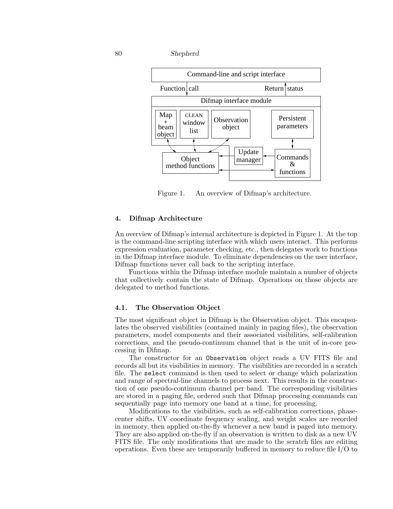

Figure 1. An overview of Difmap's architecture.

# **4. Difmap Architecture**

An overview of Difmap's internal architecture is depicted in Figure 1. At the top is the command-line scripting interface with which users interact. This performs expression evaluation, parameter checking, etc., then delegates work to functions in the Difmap interface module. To eliminate dependencies on the user interface, Difmap functions never call back to the scripting interface.

Functions within the Difmap interface module maintain a number of objects that collectively contain the state of Difmap. Operations on those objects are delegated to method functions.

### **4.1. The Observation Object**

The most significant object in Difmap is the Observation object. This encapsulates the observed visibilities (contained mainly in paging files), the observation parameters, model components and their associated visibilities, self-calibration corrections, and the pseudo-continuum channel that is the unit of in-core processing in Difmap.

The constructor for an Observation object reads a UV FITS file and records all but its visibilities in memory. The visibilities are recorded in a scratch file. The select command is then used to select or change which polarization and range of spectral-line channels to process next. This results in the construction of one pseudo-continuum channel per band. The corresponding visibilities are stored in a paging file, ordered such that Difmap processing commands can sequentially page into memory one band at a time, for processing.

Modifications to the visibilities, such as self-calibration corrections, phasecenter shifts, UV coordinate frequency scaling, and weight scales are recorded in memory, then applied on-the-fly whenever a new band is paged into memory. They are also applied on-the-fly if an observation is written to disk as a new UV FITS file. The only modifications that are made to the scratch files are editing operations. Even these are temporarily buffered in memory to reduce file I/O to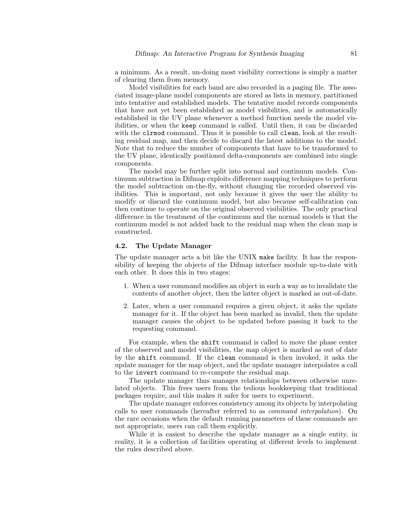a minimum. As a result, un-doing most visibility corrections is simply a matter of clearing them from memory.

Model visibilities for each band are also recorded in a paging file. The associated image-plane model components are stored as lists in memory, partitioned into tentative and established models. The tentative model records components that have not yet been established as model visibilities, and is automatically established in the UV plane whenever a method function needs the model visibilities, or when the keep command is called. Until then, it can be discarded with the clrmod command. Thus it is possible to call clean, look at the resulting residual map, and then decide to discard the latest additions to the model. Note that to reduce the number of components that have to be transformed to the UV plane, identically positioned delta-components are combined into single components.

The model may be further split into normal and continuum models. Continuum subtraction in Difmap exploits difference mapping techniques to perform the model subtraction on-the-fly, without changing the recorded observed visibilities. This is important, not only because it gives the user the ability to modify or discard the continuum model, but also because self-calibration can then continue to operate on the original observed visibilities. The only practical difference in the treatment of the continuum and the normal models is that the continuum model is not added back to the residual map when the clean map is constructed.

#### **4.2. The Update Manager**

The update manager acts a bit like the UNIX make facility. It has the responsibility of keeping the objects of the Difmap interface module up-to-date with each other. It does this in two stages:

- 1. When a user command modifies an object in such a way as to invalidate the contents of another object, then the latter object is marked as out-of-date.
- 2. Later, when a user command requires a given object, it asks the update manager for it. If the object has been marked as invalid, then the update manager causes the object to be updated before passing it back to the requesting command.

For example, when the shift command is called to move the phase center of the observed and model visibilities, the map object is marked as out of date by the shift command. If the clean command is then invoked, it asks the update manager for the map object, and the update manager interpolates a call to the invert command to re-compute the residual map.

The update manager thus manages relationships between otherwise unrelated objects. This frees users from the tedious bookkeeping that traditional packages require, and this makes it safer for users to experiment.

The update manager enforces consistency among its objects by interpolating calls to user commands (hereafter referred to as command interpolation). On the rare occasions when the default running parameters of these commands are not appropriate, users can call them explicitly.

While it is easiest to describe the update manager as a single entity, in reality, it is a collection of facilities operating at different levels to implement the rules described above.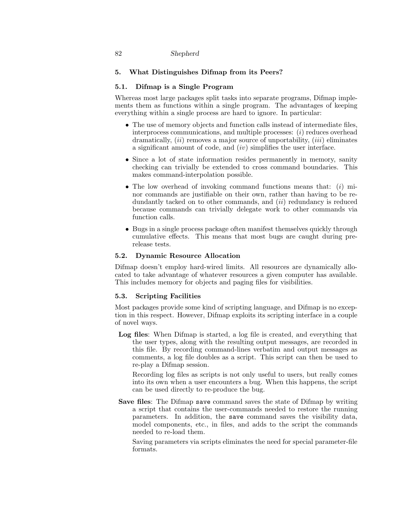# **5. What Distinguishes Difmap from its Peers?**

# **5.1. Difmap is a Single Program**

Whereas most large packages split tasks into separate programs, Difmap implements them as functions within a single program. The advantages of keeping everything within a single process are hard to ignore. In particular:

- The use of memory objects and function calls instead of intermediate files, interprocess communications, and multiple processes:  $(i)$  reduces overhead dramatically,  $(ii)$  removes a major source of unportability,  $(iii)$  eliminates a significant amount of code, and (iv) simplifies the user interface.
- Since a lot of state information resides permanently in memory, sanity checking can trivially be extended to cross command boundaries. This makes command-interpolation possible.
- The low overhead of invoking command functions means that:  $(i)$  minor commands are justifiable on their own, rather than having to be redundantly tacked on to other commands, and  $(ii)$  redundancy is reduced because commands can trivially delegate work to other commands via function calls.
- Bugs in a single process package often manifest themselves quickly through cumulative effects. This means that most bugs are caught during prerelease tests.

# **5.2. Dynamic Resource Allocation**

Difmap doesn't employ hard-wired limits. All resources are dynamically allocated to take advantage of whatever resources a given computer has available. This includes memory for objects and paging files for visibilities.

# **5.3. Scripting Facilities**

Most packages provide some kind of scripting language, and Difmap is no exception in this respect. However, Difmap exploits its scripting interface in a couple of novel ways.

**Log files**: When Difmap is started, a log file is created, and everything that the user types, along with the resulting output messages, are recorded in this file. By recording command-lines verbatim and output messages as comments, a log file doubles as a script. This script can then be used to re-play a Difmap session.

Recording log files as scripts is not only useful to users, but really comes into its own when a user encounters a bug. When this happens, the script can be used directly to re-produce the bug.

**Save files**: The Difmap save command saves the state of Difmap by writing a script that contains the user-commands needed to restore the running parameters. In addition, the save command saves the visibility data, model components, etc., in files, and adds to the script the commands needed to re-load them.

Saving parameters via scripts eliminates the need for special parameter-file formats.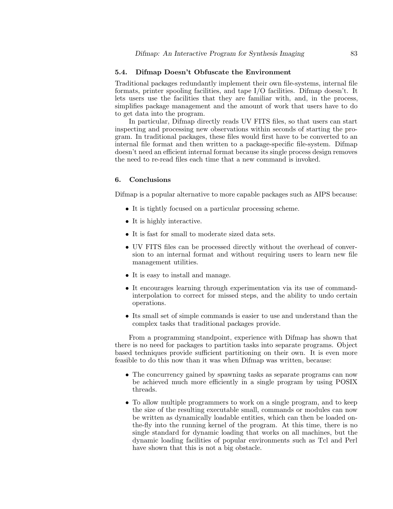#### **5.4. Difmap Doesn't Obfuscate the Environment**

Traditional packages redundantly implement their own file-systems, internal file formats, printer spooling facilities, and tape I/O facilities. Difmap doesn't. It lets users use the facilities that they are familiar with, and, in the process, simplifies package management and the amount of work that users have to do to get data into the program.

In particular, Difmap directly reads UV FITS files, so that users can start inspecting and processing new observations within seconds of starting the program. In traditional packages, these files would first have to be converted to an internal file format and then written to a package-specific file-system. Difmap doesn't need an efficient internal format because its single process design removes the need to re-read files each time that a new command is invoked.

## **6. Conclusions**

Difmap is a popular alternative to more capable packages such as AIPS because:

- It is tightly focused on a particular processing scheme.
- It is highly interactive.
- It is fast for small to moderate sized data sets.
- UV FITS files can be processed directly without the overhead of conversion to an internal format and without requiring users to learn new file management utilities.
- It is easy to install and manage.
- It encourages learning through experimentation via its use of commandinterpolation to correct for missed steps, and the ability to undo certain operations.
- Its small set of simple commands is easier to use and understand than the complex tasks that traditional packages provide.

From a programming standpoint, experience with Difmap has shown that there is no need for packages to partition tasks into separate programs. Object based techniques provide sufficient partitioning on their own. It is even more feasible to do this now than it was when Difmap was written, because:

- The concurrency gained by spawning tasks as separate programs can now be achieved much more efficiently in a single program by using POSIX threads.
- To allow multiple programmers to work on a single program, and to keep the size of the resulting executable small, commands or modules can now be written as dynamically loadable entities, which can then be loaded onthe-fly into the running kernel of the program. At this time, there is no single standard for dynamic loading that works on all machines, but the dynamic loading facilities of popular environments such as Tcl and Perl have shown that this is not a big obstacle.